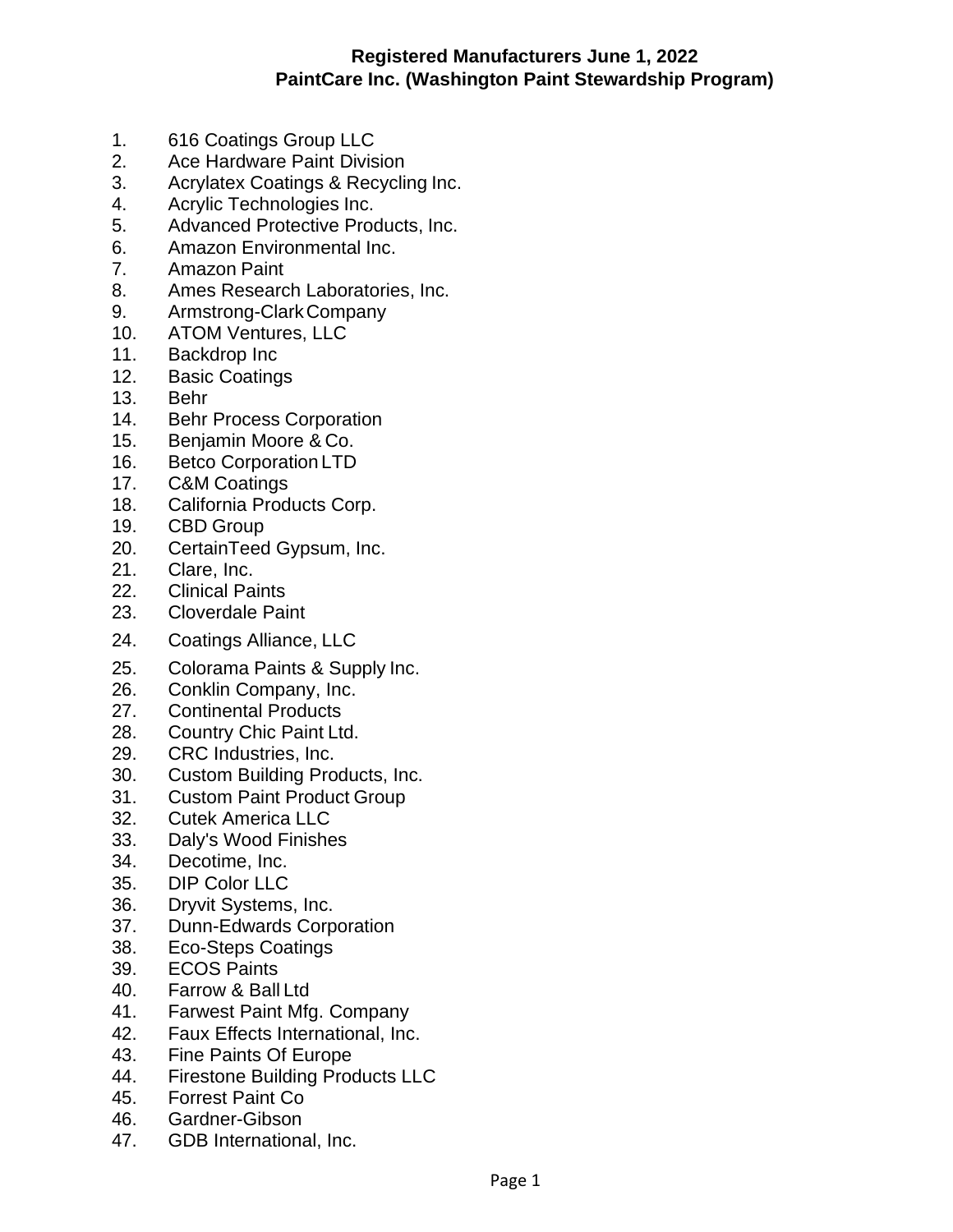## **Registered Manufacturers June 1, 2022 PaintCare Inc. (Washington Paint Stewardship Program)**

- 1. 616 Coatings Group LLC
- 2. Ace Hardware Paint Division
- 3. Acrylatex Coatings & Recycling Inc.
- 4. Acrylic Technologies Inc.
- 5. Advanced Protective Products, Inc.
- 6. Amazon Environmental Inc.
- 7. Amazon Paint
- 8. Ames Research Laboratories, Inc.
- 9. Armstrong-ClarkCompany
- 10. ATOM Ventures, LLC
- 11. Backdrop Inc
- 12. Basic Coatings
- 13. Behr
- 14. Behr Process Corporation
- 15. Benjamin Moore & Co.
- 16. Betco Corporation LTD
- 17. C&M Coatings
- 18. California Products Corp.
- 19. CBD Group
- 20. CertainTeed Gypsum, Inc.
- 21. Clare, Inc.
- 22. Clinical Paints
- 23. Cloverdale Paint
- 24. Coatings Alliance, LLC
- 25. Colorama Paints & Supply Inc.
- 26. Conklin Company, Inc.
- 27. Continental Products
- 28. Country Chic Paint Ltd.
- 29. CRC Industries, Inc.
- 30. Custom Building Products, Inc.
- 31. Custom Paint Product Group
- 32. Cutek America LLC
- 33. Daly's Wood Finishes
- 34. Decotime, Inc.
- 35. DIP Color LLC
- 36. Dryvit Systems, Inc.
- 37. Dunn-Edwards Corporation
- 38. Eco-Steps Coatings
- 39. ECOS Paints
- 40. Farrow & Ball Ltd
- 41. Farwest Paint Mfg. Company
- 42. Faux Effects International, Inc.
- 43. Fine Paints Of Europe
- 44. Firestone Building Products LLC
- 45. Forrest Paint Co
- 46. Gardner-Gibson
- 47. GDB International, Inc.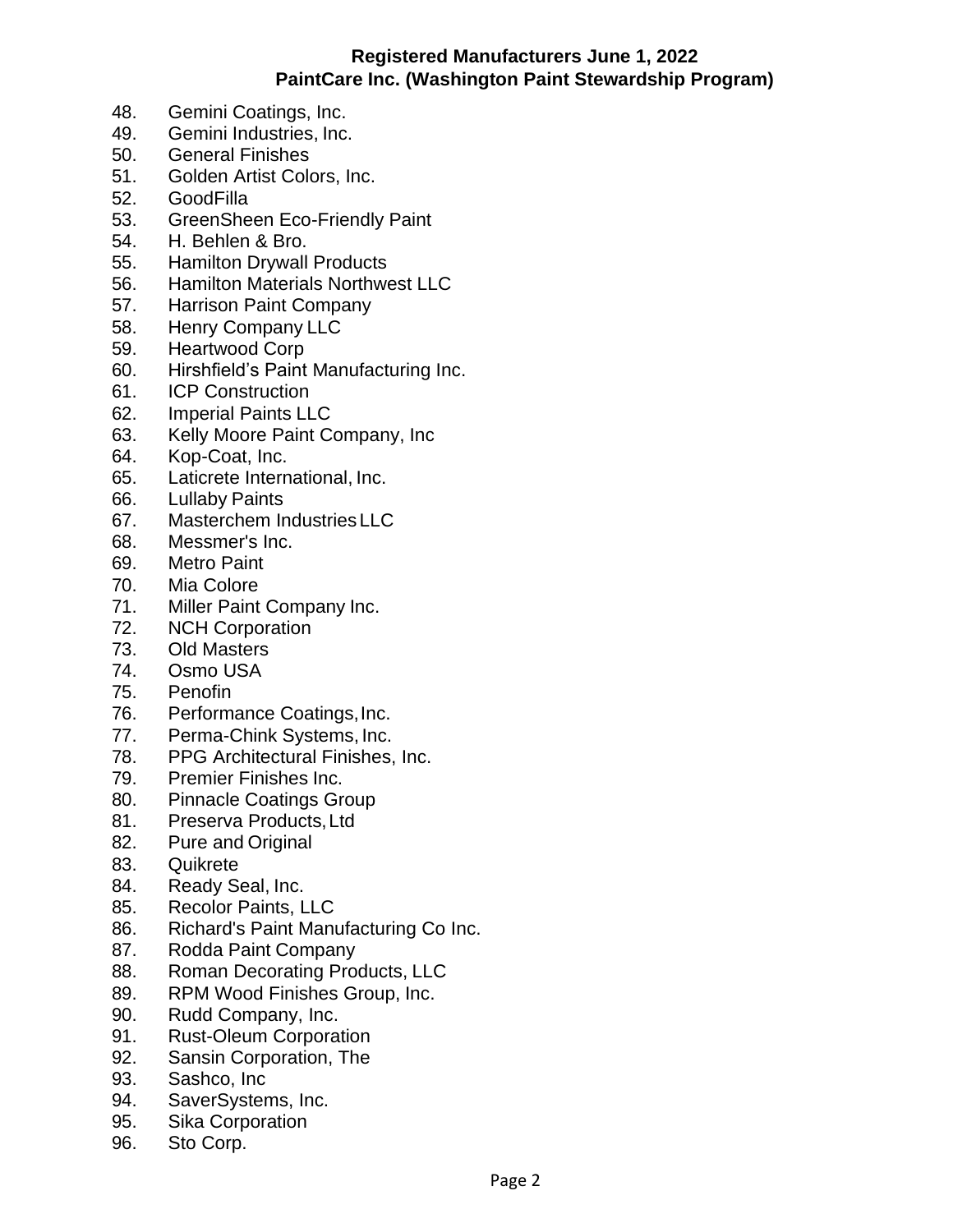## **Registered Manufacturers June 1, 2022 PaintCare Inc. (Washington Paint Stewardship Program)**

- 48. Gemini Coatings, Inc.
- 49. Gemini Industries, Inc.
- 50. General Finishes
- 51. Golden Artist Colors, Inc.
- 52. GoodFilla
- 53. GreenSheen Eco-Friendly Paint
- 54. H. Behlen & Bro.
- 55. Hamilton Drywall Products
- 56. Hamilton Materials Northwest LLC
- 57. Harrison Paint Company
- 58. Henry Company LLC
- 59. Heartwood Corp
- 60. Hirshfield's Paint Manufacturing Inc.
- 61. ICP Construction
- 62. Imperial Paints LLC
- 63. Kelly Moore Paint Company, Inc
- 64. Kop-Coat, Inc.
- 65. Laticrete International, Inc.
- 66. Lullaby Paints
- 67. Masterchem Industries LLC
- 68. Messmer's Inc.
- 69. Metro Paint
- 70. Mia Colore
- 71. Miller Paint Company Inc.
- 72. NCH Corporation
- 73. Old Masters
- 74. Osmo USA
- 75. Penofin
- 76. Performance Coatings,Inc.
- 77. Perma-Chink Systems, Inc.
- 78. PPG Architectural Finishes, Inc.
- 79. Premier Finishes Inc.
- 80. Pinnacle Coatings Group
- 81. Preserva Products,Ltd
- 82. Pure and Original
- 83. Quikrete
- 84. Ready Seal, Inc.
- 85. Recolor Paints, LLC
- 86. Richard's Paint Manufacturing Co Inc.
- 87. Rodda Paint Company
- 88. Roman Decorating Products, LLC
- 89. RPM Wood Finishes Group, Inc.
- 90. Rudd Company, Inc.
- 91. Rust-Oleum Corporation
- 92. Sansin Corporation, The
- 93. Sashco, Inc
- 94. SaverSystems, Inc.
- 95. Sika Corporation
- 96. Sto Corp.